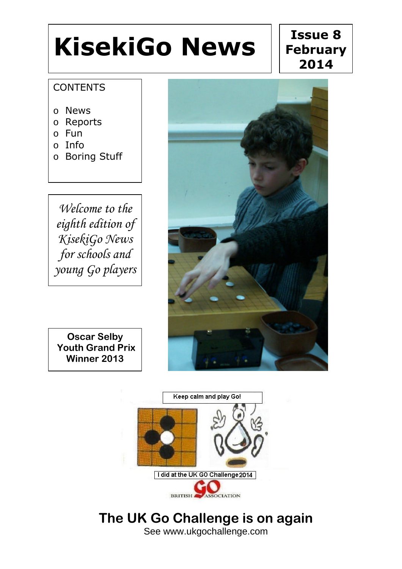# **KisekiGo News**

### $\overline{a}$ **Issue 8 February 2014**

### **CONTENTS**

- o News
- o Reports
- o Fun
- o Info
- o Boring Stuff

*Welcome to the eighth edition of KisekiGo News for schools and young Go players*



 $\overline{a}$ **Oscar Selby Youth Grand Prix Winner 2013**



### **The UK Go Challenge is on again** See www.ukgochallenge.com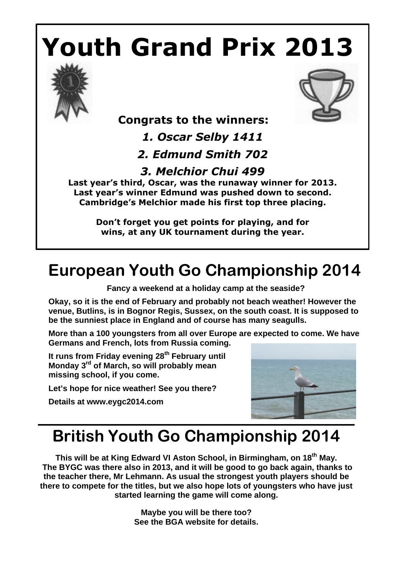# **Youth Grand Prix 2013**





 **Congrats to the winners:** 

*1. Oscar Selby 1411*

*2. Edmund Smith 702*

### *3. Melchior Chui 499*

**Last year's third, Oscar, was the runaway winner for 2013. Last year's winner Edmund was pushed down to second. Cambridge's Melchior made his first top three placing.**

> **Don't forget you get points for playing, and for wins, at any UK tournament during the year.**

# **European Youth Go Championship 2014**

**Fancy a weekend at a holiday camp at the seaside?**

**Okay, so it is the end of February and probably not beach weather! However the venue, Butlins, is in Bognor Regis, Sussex, on the south coast. It is supposed to be the sunniest place in England and of course has many seagulls.** 

**More than a 100 youngsters from all over Europe are expected to come. We have Germans and French, lots from Russia coming.** 

**It runs from Friday evening 28th February until Monday 3rd of March, so will probably mean missing school, if you come.**

**Let's hope for nice weather! See you there?**

**Details at www.eygc2014.com** 



## **British Youth Go Championship 2014**

**This will be at King Edward VI Aston School, in Birmingham, on 18th May. The BYGC was there also in 2013, and it will be good to go back again, thanks to the teacher there, Mr Lehmann. As usual the strongest youth players should be there to compete for the titles, but we also hope lots of youngsters who have just started learning the game will come along.** 

> **Maybe you will be there too? See the BGA website for details.**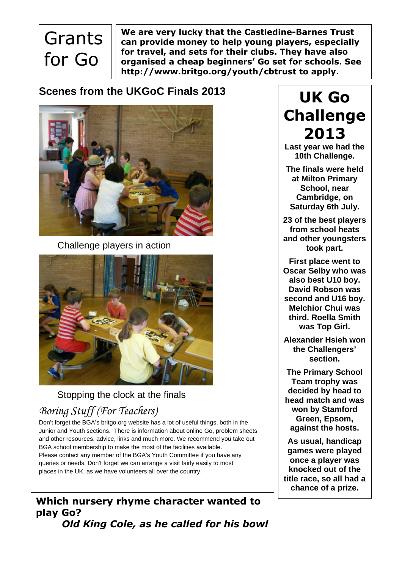# **Grants** for Go

**We are very lucky that the Castledine-Barnes Trust can provide money to help young players, especially for travel, and sets for their clubs. They have also organised a cheap beginners' Go set for schools. See http://www.britgo.org/youth/cbtrust to apply.**

### **Scenes from the UKGoC Finals 2013**



Challenge players in action



### Stopping the clock at the finals

### *Boring Stuff (For Teachers)*

Don't forget the BGA's britgo.org website has a lot of useful things, both in the Junior and Youth sections. There is information about online Go, problem sheets and other resources, advice, links and much more. We recommend you take out BGA school membership to make the most of the facilities available. Please contact any member of the BGA's Youth Committee if you have any queries or needs. Don't forget we can arrange a visit fairly easily to most places in the UK, as we have volunteers all over the country.

#### **Which nursery rhyme character wanted to play Go?** *Old King Cole, as he called for his bowl*

## **UK Go Challenge 2013**

**Last year we had the 10th Challenge.**

**The finals were held at Milton Primary School, near Cambridge, on Saturday 6th July.**

**23 of the best players from school heats and other youngsters took part.** 

**First place went to Oscar Selby who was also best U10 boy. David Robson was second and U16 boy. Melchior Chui was third. Roella Smith was Top Girl.** 

**Alexander Hsieh won the Challengers' section.**

**The Primary School Team trophy was decided by head to head match and was won by Stamford Green, Epsom, against the hosts.** 

**As usual, handicap games were played once a player was knocked out of the title race, so all had a chance of a prize.**